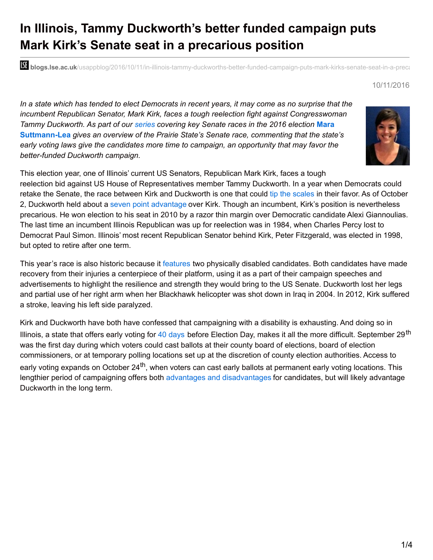# **In Illinois, Tammy Duckworth's better funded campaign puts Mark Kirk's Senate seat in a precarious position**

**bli blogs.lse.ac.uk**/usappblog/2016/10/11/in-illinois-tammy-duckworths-better-funded-campaign-puts-mark-kirks-senate-seat-in-a-precare

#### 10/11/2016

In a state which has tended to elect Democrats in recent years, it may come as no surprise that the *incumbent Republican Senator, Mark Kirk, faces a tough reelection fight against Congresswoman Tammy Duckworth. As part of our [series](http://blogs.lse.ac.uk/usappblog/expert-commentary-on-key-2016-senate-races/) covering key Senate races in the 2016 election* **Mara [Suttmann-Lea](http://wp.me/p3I2YF-5Q0#Author)** *gives an overview of the Prairie State's Senate race, commenting that the state's early voting laws give the candidates more time to campaign, an opportunity that may favor the better-funded Duckworth campaign.*



This election year, one of Illinois' current US Senators, Republican Mark Kirk, faces a tough reelection bid against US House of Representatives member Tammy Duckworth. In a year when Democrats could retake the Senate, the race between Kirk and Duckworth is one that could tip the [scales](http://www.chicagobusiness.com/article/20161007/NEWS02/161009872/obama-heads-to-chicago-to-raise-money-for-clinton-duckworth) in their favor. As of October 2, Duckworth held about a seven point [advantage](http://www.realclearpolitics.com/epolls/2016/senate/il/illinois_senate_kirk_vs_duckworth-5432.html) over Kirk. Though an incumbent, Kirk's position is nevertheless precarious. He won election to his seat in 2010 by a razor thin margin over Democratic candidate Alexi Giannoulias. The last time an incumbent Illinois Republican was up for reelection was in 1984, when Charles Percy lost to Democrat Paul Simon. Illinois' most recent Republican Senator behind Kirk, Peter Fitzgerald, was elected in 1998, but opted to retire after one term.

This year's race is also historic because it [features](https://www.washingtonpost.com/politics/in-illinois-a-landmark-senate-race-between-two-physically-disabled-candidates/2016/09/17/08936d2a-5fdf-11e6-9d2f-b1a3564181a1_story.html) two physically disabled candidates. Both candidates have made recovery from their injuries a centerpiece of their platform, using it as a part of their campaign speeches and advertisements to highlight the resilience and strength they would bring to the US Senate. Duckworth lost her legs and partial use of her right arm when her Blackhawk helicopter was shot down in Iraq in 2004. In 2012, Kirk suffered a stroke, leaving his left side paralyzed.

Kirk and Duckworth have both have confessed that campaigning with a disability is exhausting. And doing so in Illinois, a state that offers early voting for 40 [days](http://www.elections.il.gov/Downloads/ElectionInformation/PDF/EarlyVoting.pdf) before Election Day, makes it all the more difficult. September 29<sup>th</sup> was the first day during which voters could cast ballots at their county board of elections, board of election commissioners, or at temporary polling locations set up at the discretion of county election authorities. Access to early voting expands on October 24<sup>th</sup>, when voters can cast early ballots at permanent early voting locations. This lengthier period of campaigning offers both advantages and [disadvantages](https://marasuttmannlea.com/research/) for candidates, but will likely advantage Duckworth in the long term.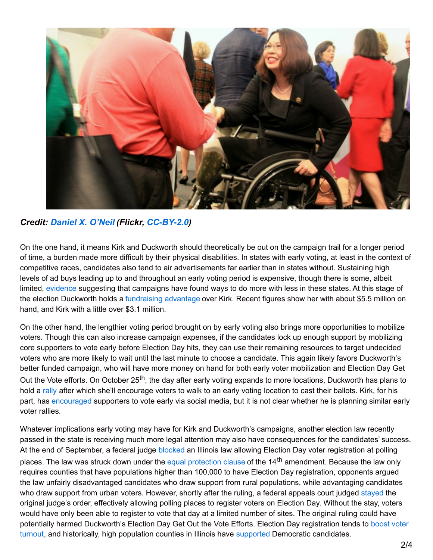

### *Credit: [Daniel](https://www.flickr.com/photos/juggernautco/) X. O'Neil (Flickr, [CC-BY-2.0](https://creativecommons.org/licenses/by/2.0/))*

On the one hand, it means Kirk and Duckworth should theoretically be out on the campaign trail for a longer period of time, a burden made more difficult by their physical disabilities. In states with early voting, at least in the context of competitive races, candidates also tend to air advertisements far earlier than in states without. Sustaining high levels of ad buys leading up to and throughout an early voting period is expensive, though there is some, albeit limited, [evidence](http://2012sppconference.blogs.rice.edu/files/2012/02/SPPC2012_DunawayStein.pdf) suggesting that campaigns have found ways to do more with less in these states. At this stage of the election Duckworth holds a [fundraising](http://illinoiselectiondata.com/profiles/2016/general/ussenate.php).) advantage over Kirk. Recent figures show her with about \$5.5 million on hand, and Kirk with a little over \$3.1 million.

On the other hand, the lengthier voting period brought on by early voting also brings more opportunities to mobilize voters. Though this can also increase campaign expenses, if the candidates lock up enough support by mobilizing core supporters to vote early before Election Day hits, they can use their remaining resources to target undecided voters who are more likely to wait until the last minute to choose a candidate. This again likely favors Duckworth's better funded campaign, who will have more money on hand for both early voter mobilization and Election Day Get Out the Vote efforts. On October 25<sup>th</sup>, the day after early voting expands to more locations, Duckworth has plans to hold a [rally](http://action.tammyduckworth.com/page/s/october-25) after which she'll encourage voters to walk to an early voting location to cast their ballots. Kirk, for his part, has [encouraged](https://twitter.com/markkirk/status/781485181039415296) supporters to vote early via social media, but it is not clear whether he is planning similar early voter rallies.

Whatever implications early voting may have for Kirk and Duckworth's campaigns, another election law recently passed in the state is receiving much more legal attention may also have consequences for the candidates' success. At the end of September, a federal judge [blocked](http://www.chicagotribune.com/news/local/politics/ct-chicago-voter-registration-met-20160927-story.html) an Illinois law allowing Election Day voter registration at polling places. The law was struck down under the equal [protection](http://chicagotonight.wttw.com/2016/09/28/debating-ruling-election-day-registration) clause of the 14<sup>th</sup> amendment. Because the law only requires counties that have populations higher than 100,000 to have Election Day registration, opponents argued the law unfairly disadvantaged candidates who draw support from rural populations, while advantaging candidates who draw support from urban voters. However, shortly after the ruling, a federal appeals court judged [stayed](http://www.chicagotribune.com/news/local/politics/ct-illinois-same-day-voter-registration-met-1005-20161004-story.html) the original judge's order, effectively allowing polling places to register voters on Election Day. Without the stay, voters would have only been able to register to vote that day at a limited number of sites. The original ruling could have potentially harmed [Duckworth's](http://onlinelibrary.wiley.com/doi/10.1111/ajps.12063/abstract) Election Day Get Out the Vote Efforts. Election Day registration tends to boost voter turnout, and historically, high population counties in Illinois have [supported](http://illinoiselectiondata.com/profiles/2016/general/ussenate.php) Democratic candidates.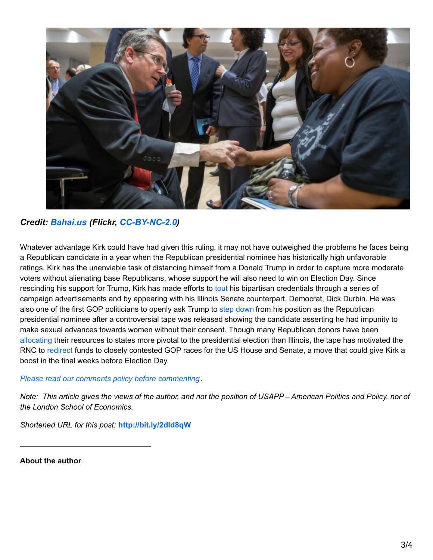

## *Credit: [Bahai.us](https://www.flickr.com/photos/bahaius/) (Flickr, [CC-BY-NC-2.0](https://creativecommons.org/licenses/by-nc/2.0/))*

Whatever advantage Kirk could have had given this ruling, it may not have outweighed the problems he faces being a Republican candidate in a year when the Republican presidential nominee has historically high unfavorable ratings. Kirk has the unenviable task of distancing himself from a Donald Trump in order to capture more moderate voters without alienating base Republicans, whose support he will also need to win on Election Day. Since rescinding his support for Trump, Kirk has made efforts to [tout](http://www.nytimes.com/2016/08/06/us/politics/mark-kirk-republican-illinois-senate-race.html?_r=0) his bipartisan credentials through a series of campaign advertisements and by appearing with his Illinois Senate counterpart, Democrat, Dick Durbin. He was also one of the first GOP politicians to openly ask Trump to step [down](https://twitter.com/SenatorKirk/status/784555457255964672) from his position as the Republican presidential nominee after a controversial tape was released showing the candidate asserting he had impunity to make sexual advances towards women without their consent. Though many Republican donors have been [allocating](http://www.wsj.com/articles/mark-kirk-faces-tough-re-election-fight-in-illinois-1474493155) their resources to states more pivotal to the presidential election than Illinois, the tape has motivated the RNC to [redirect](http://www.wsj.com/articles/gop-scrambles-to-salvage-election-after-donald-trumps-latest-imbroglio-1475969203) funds to closely contested GOP races for the US House and Senate, a move that could give Kirk a boost in the final weeks before Election Day.

#### *Please read our comments policy before [commenting](http://blogs.lse.ac.uk/usappblog/comments-policy/)*.

Note: This article gives the views of the author, and not the position of USAPP - American Politics and Policy, nor of *the London School of Economics.*

*Shortened URL for this post:* **<http://bit.ly/2dId8qW>**

\_\_\_\_\_\_\_\_\_\_\_\_\_\_\_\_\_\_\_\_\_\_\_\_\_\_\_\_\_\_\_

**About the author**